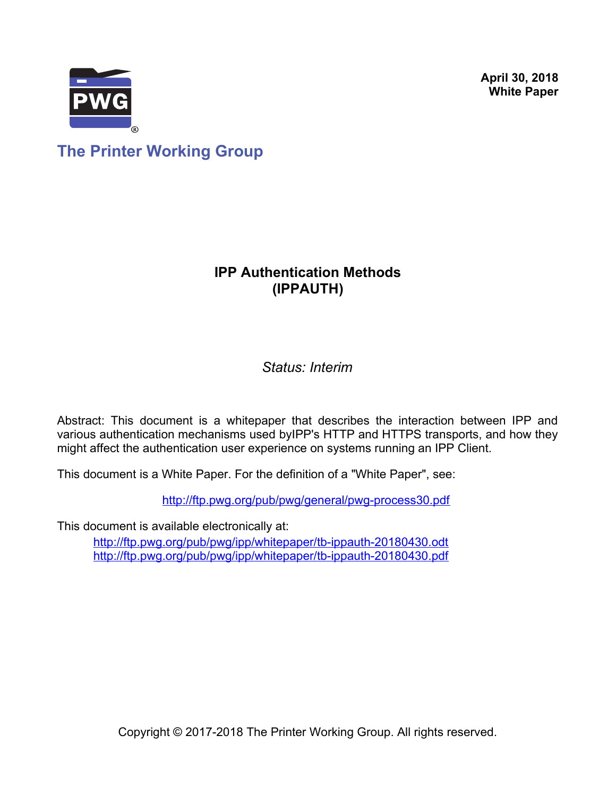**April 30, 2018 White Paper**



**The Printer Working Group**

## **IPP Authentication Methods (IPPAUTH)**

*Status: Interim*

Abstract: This document is a whitepaper that describes the interaction between IPP and various authentication mechanisms used byIPP's HTTP and HTTPS transports, and how they might affect the authentication user experience on systems running an IPP Client.

This document is a White Paper. For the definition of a "White Paper", see:

<http://ftp.pwg.org/pub/pwg/general/pwg-process30.pdf>

This document is available electronically at:

<http://ftp.pwg.org/pub/pwg/ipp/whitepaper/tb-ippauth-20180430.odt> <http://ftp.pwg.org/pub/pwg/ipp/whitepaper/tb-ippauth-20180430.pdf>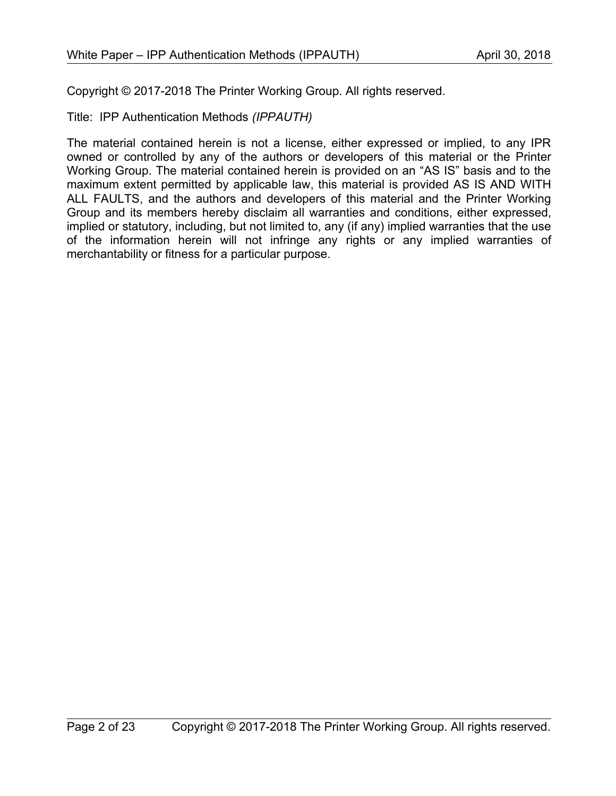Copyright © 2017-2018 The Printer Working Group. All rights reserved.

Title: IPP Authentication Methods *(IPPAUTH)*

The material contained herein is not a license, either expressed or implied, to any IPR owned or controlled by any of the authors or developers of this material or the Printer Working Group. The material contained herein is provided on an "AS IS" basis and to the maximum extent permitted by applicable law, this material is provided AS IS AND WITH ALL FAULTS, and the authors and developers of this material and the Printer Working Group and its members hereby disclaim all warranties and conditions, either expressed, implied or statutory, including, but not limited to, any (if any) implied warranties that the use of the information herein will not infringe any rights or any implied warranties of merchantability or fitness for a particular purpose.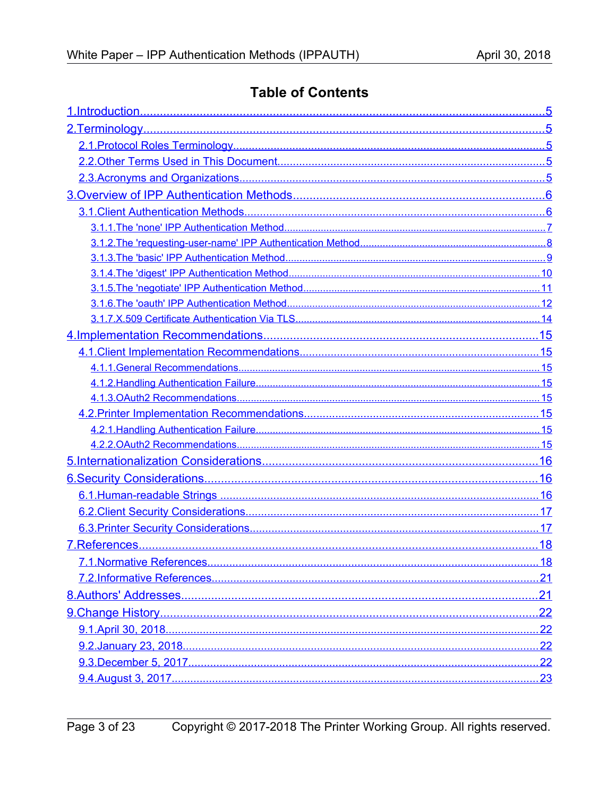# **Table of Contents**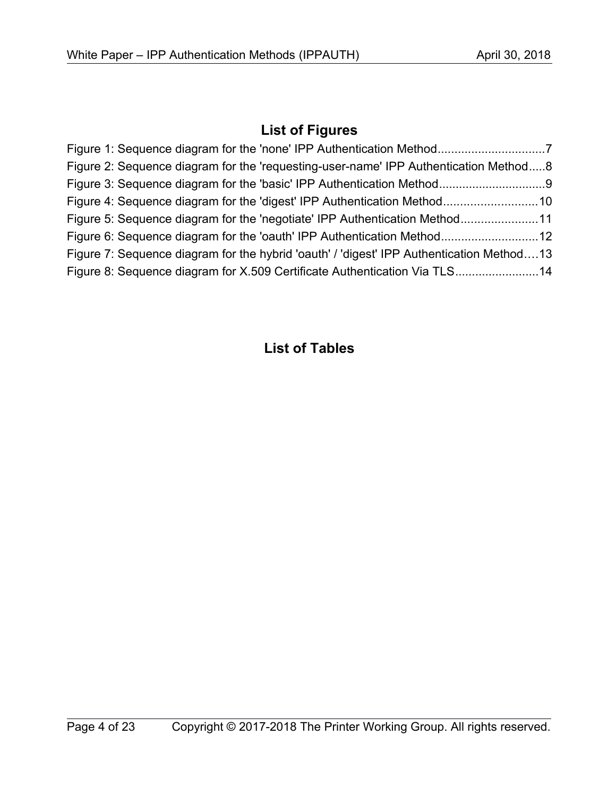# **List of Figures**

| Figure 2: Sequence diagram for the 'requesting-user-name' IPP Authentication Method8     |  |
|------------------------------------------------------------------------------------------|--|
|                                                                                          |  |
|                                                                                          |  |
| Figure 5: Sequence diagram for the 'negotiate' IPP Authentication Method11               |  |
|                                                                                          |  |
| Figure 7: Sequence diagram for the hybrid 'oauth' / 'digest' IPP Authentication Method13 |  |
| Figure 8: Sequence diagram for X.509 Certificate Authentication Via TLS14                |  |

# **List of Tables**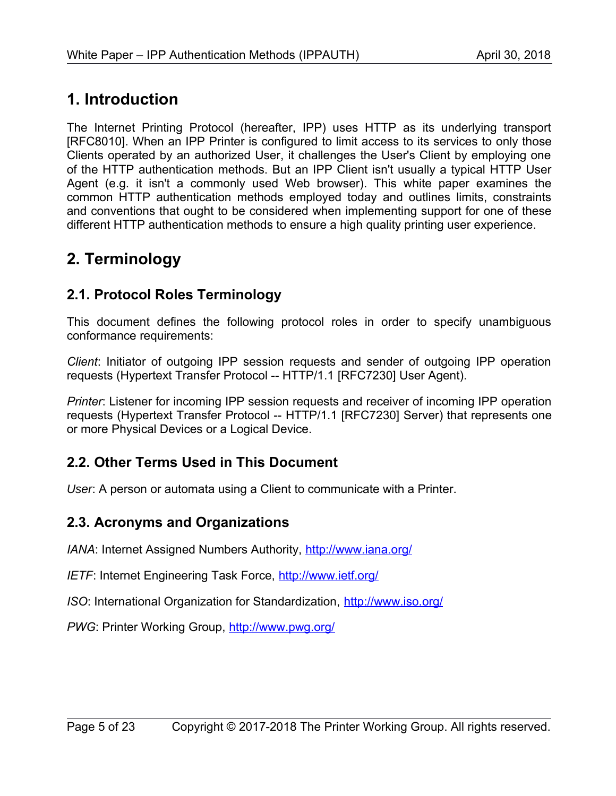# <span id="page-4-4"></span>**1. Introduction**

The Internet Printing Protocol (hereafter, IPP) uses HTTP as its underlying transport [\[RFC8010\].](#page-19-0) When an IPP Printer is configured to limit access to its services to only those Clients operated by an authorized User, it challenges the User's Client by employing one of the HTTP authentication methods. But an IPP Client isn't usually a typical HTTP User Agent (e.g. it isn't a commonly used Web browser). This white paper examines the common HTTP authentication methods employed today and outlines limits, constraints and conventions that ought to be considered when implementing support for one of these different HTTP authentication methods to ensure a high quality printing user experience.

# <span id="page-4-3"></span>**2. Terminology**

## <span id="page-4-2"></span>**2.1. Protocol Roles Terminology**

This document defines the following protocol roles in order to specify unambiguous conformance requirements:

*Client*: Initiator of outgoing IPP session requests and sender of outgoing IPP operation requests (Hypertext Transfer Protocol -- HTTP/1.1 [\[RFC7230\]](#page-19-1) User Agent).

*Printer*: Listener for incoming IPP session requests and receiver of incoming IPP operation requests (Hypertext Transfer Protocol -- HTTP/1.1 [\[RFC7230\]](#page-19-1) Server) that represents one or more Physical Devices or a Logical Device.

## <span id="page-4-1"></span>**2.2. Other Terms Used in This Document**

User: A person or automata using a Client to communicate with a Printer.

### <span id="page-4-0"></span>**2.3. Acronyms and Organizations**

*IANA*: Internet Assigned Numbers Authority,<http://www.iana.org/>

*IETF*: Internet Engineering Task Force,<http://www.ietf.org/>

*ISO*: International Organization for Standardization,<http://www.iso.org/>

PWG: Printer Working Group,<http://www.pwg.org/>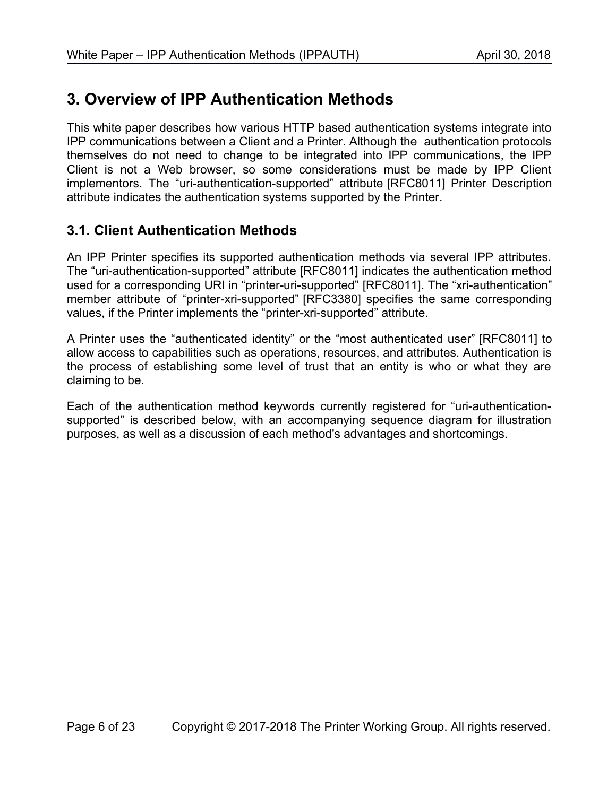# <span id="page-5-1"></span>**3. Overview of IPP Authentication Methods**

This white paper describes how various HTTP based authentication systems integrate into IPP communications between a Client and a Printer. Although the authentication protocols themselves do not need to change to be integrated into IPP communications, the IPP Client is not a Web browser, so some considerations must be made by IPP Client implementors. The "uri-authentication-supported" attribute [\[RFC8011\]](#page-19-2) Printer Description attribute indicates the authentication systems supported by the Printer.

## <span id="page-5-0"></span>**3.1. Client Authentication Methods**

An IPP Printer specifies its supported authentication methods via several IPP attributes. The "uri-authentication-supported" attribute [\[RFC8011\]](#page-19-2) indicates the authentication method used for a corresponding URI in "printer-uri-supported" [\[RFC8011\].](#page-19-2) The "xri-authentication" member attribute of "printer-xri-supported" [\[RFC3380\]](#page-18-0) specifies the same corresponding values, if the Printer implements the "printer-xri-supported" attribute.

A Printer uses the "authenticated identity" or the "most authenticated user" [\[RFC8011\]](#page-19-2) to allow access to capabilities such as operations, resources, and attributes. Authentication is the process of establishing some level of trust that an entity is who or what they are claiming to be.

Each of the authentication method keywords currently registered for "uri-authenticationsupported" is described below, with an accompanying sequence diagram for illustration purposes, as well as a discussion of each method's advantages and shortcomings.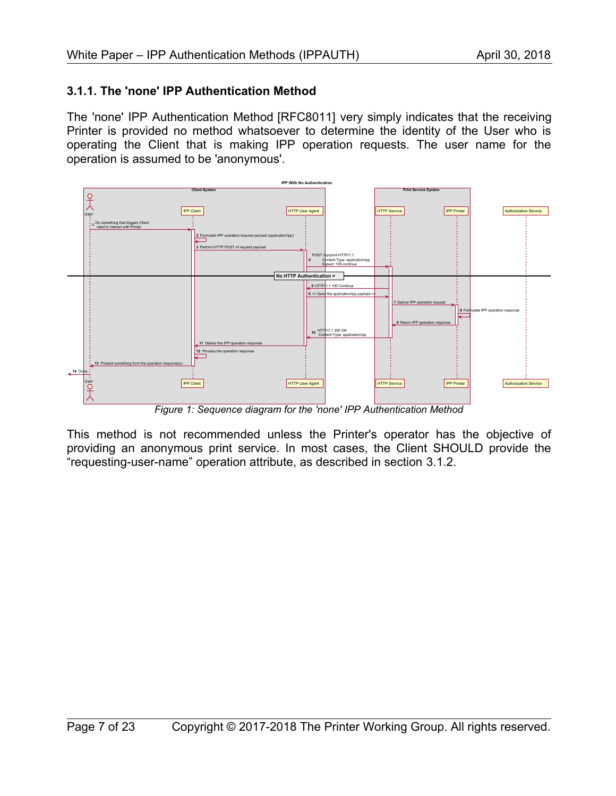#### <span id="page-6-0"></span>**3.1.1. The 'none' IPP Authentication Method**

The 'none' IPP Authentication Method [\[RFC8011\]](#page-19-2) very simply indicates that the receiving Printer is provided no method whatsoever to determine the identity of the User who is operating the Client that is making IPP operation requests. The user name for the operation is assumed to be 'anonymous'.



*Figure 1: Sequence diagram for the 'none' IPP Authentication Method*

This method is not recommended unless the Printer's operator has the objective of providing an anonymous print service. In most cases, the Client SHOULD provide the "requesting-user-name" operation attribute, as described in section [3.1.2.](#page-7-0)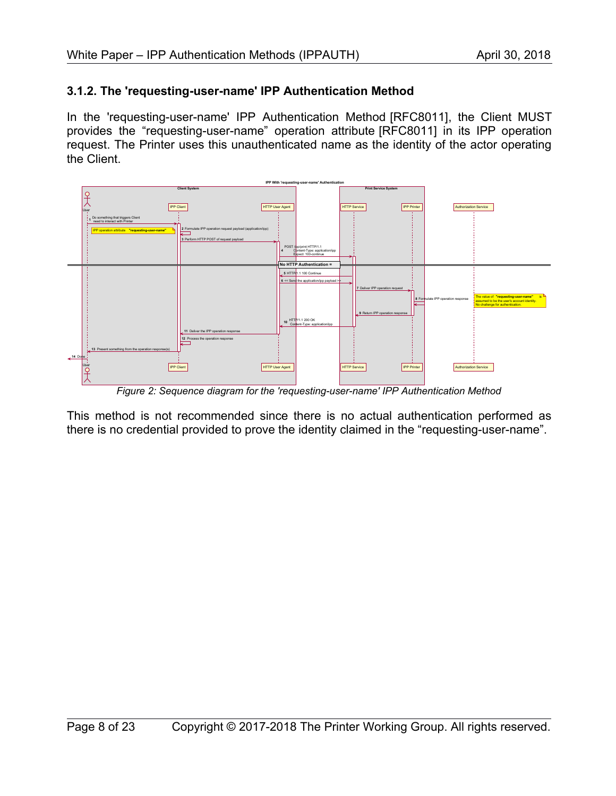#### <span id="page-7-0"></span>**3.1.2. The 'requesting-user-name' IPP Authentication Method**

In the 'requesting-user-name' IPP Authentication Method [\[RFC8011\],](#page-19-2) the Client MUST provides the "requesting-user-name" operation attribute [\[RFC8011\]](#page-19-2) in its IPP operation request. The Printer uses this unauthenticated name as the identity of the actor operating the Client.



*Figure 2: Sequence diagram for the 'requesting-user-name' IPP Authentication Method*

This method is not recommended since there is no actual authentication performed as there is no credential provided to prove the identity claimed in the "requesting-user-name".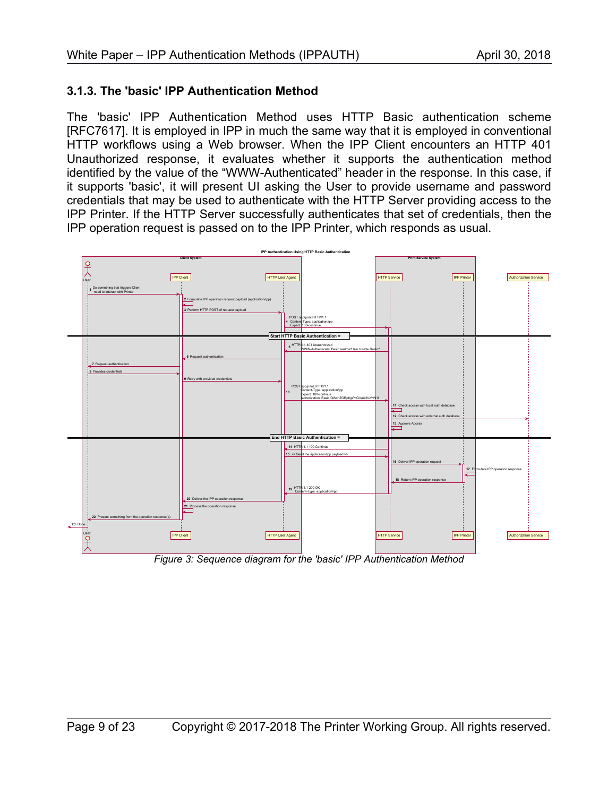#### <span id="page-8-0"></span>**3.1.3. The 'basic' IPP Authentication Method**

The 'basic' IPP Authentication Method uses HTTP Basic authentication scheme [\[RFC7617\].](#page-19-3) It is employed in IPP in much the same way that it is employed in conventional HTTP workflows using a Web browser. When the IPP Client encounters an HTTP 401 Unauthorized response, it evaluates whether it supports the authentication method identified by the value of the "WWW-Authenticated" header in the response. In this case, if it supports 'basic', it will present UI asking the User to provide username and password credentials that may be used to authenticate with the HTTP Server providing access to the IPP Printer. If the HTTP Server successfully authenticates that set of credentials, then the IPP operation request is passed on to the IPP Printer, which responds as usual.



*Figure 3: Sequence diagram for the 'basic' IPP Authentication Method*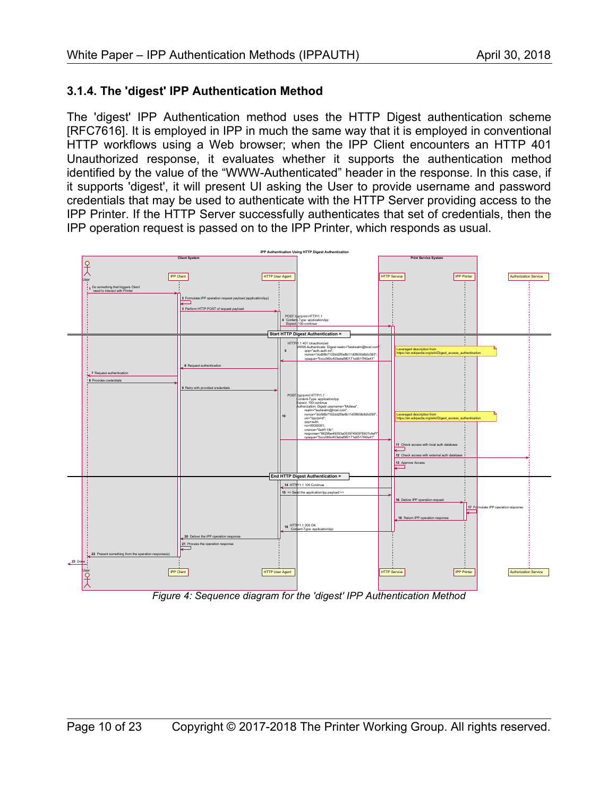#### <span id="page-9-0"></span>**3.1.4. The 'digest' IPP Authentication Method**

The 'digest' IPP Authentication method uses the HTTP Digest authentication scheme [\[RFC7616\].](#page-19-4) It is employed in IPP in much the same way that it is employed in conventional HTTP workflows using a Web browser; when the IPP Client encounters an HTTP 401 Unauthorized response, it evaluates whether it supports the authentication method identified by the value of the "WWW-Authenticated" header in the response. In this case, if it supports 'digest', it will present UI asking the User to provide username and password credentials that may be used to authenticate with the HTTP Server providing access to the IPP Printer. If the HTTP Server successfully authenticates that set of credentials, then the IPP operation request is passed on to the IPP Printer, which responds as usual.



*Figure 4: Sequence diagram for the 'digest' IPP Authentication Method*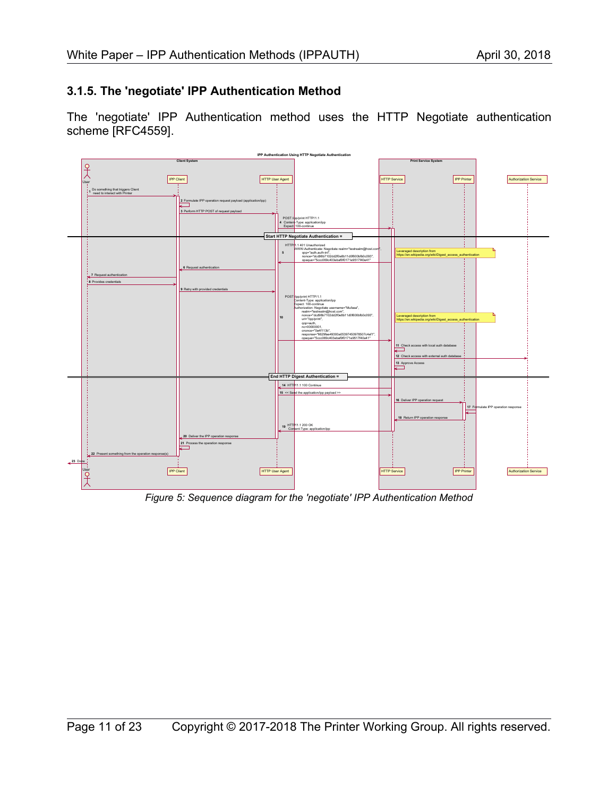#### <span id="page-10-0"></span>**3.1.5. The 'negotiate' IPP Authentication Method**

The 'negotiate' IPP Authentication method uses the HTTP Negotiate authentication scheme [\[RFC4559\].](#page-18-1)



*Figure 5: Sequence diagram for the 'negotiate' IPP Authentication Method*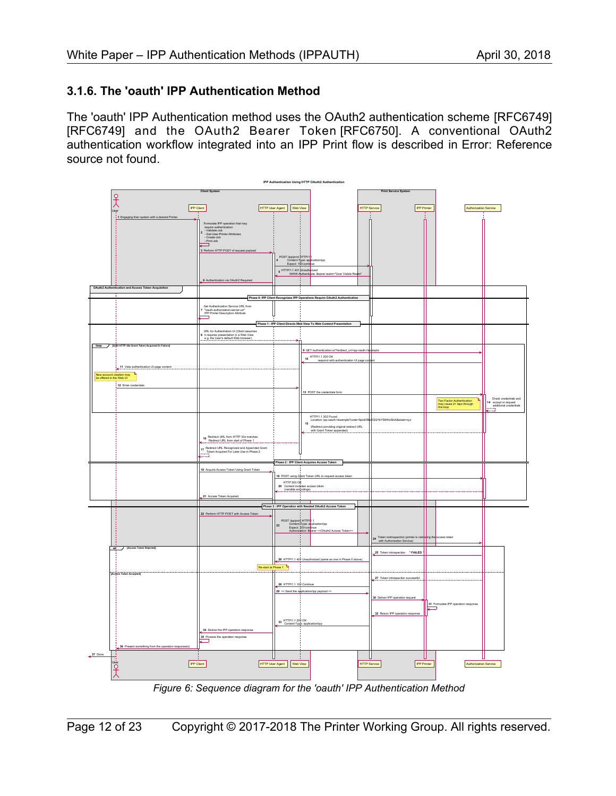#### <span id="page-11-0"></span>**3.1.6. The 'oauth' IPP Authentication Method**

The 'oauth' IPP Authentication method uses the OAuth2 authentication scheme [\[RFC6749\]](#page-18-2) [\[RFC6749\]](#page-18-2) and the OAuth2 Bearer Token [\[RFC6750\].](#page-19-5) A conventional OAuth2 authentication workflow integrated into an IPP Print flow is described in [Error: Reference](#page-11-1) [source not found.](#page-11-1)

<span id="page-11-1"></span>

*Figure 6: Sequence diagram for the 'oauth' IPP Authentication Method*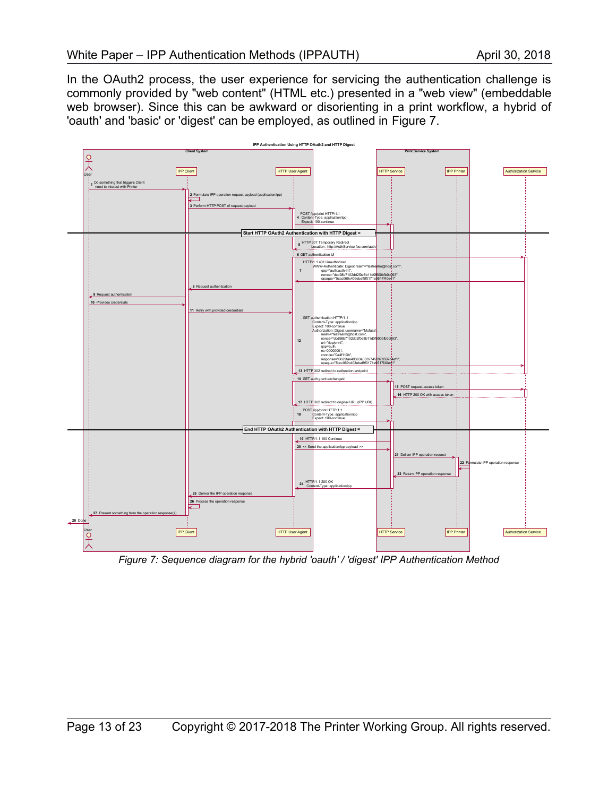In the OAuth2 process, the user experience for servicing the authentication challenge is commonly provided by "web content" (HTML etc.) presented in a "web view" (embeddable web browser). Since this can be awkward or disorienting in a print workflow, a hybrid of 'oauth' and 'basic' or 'digest' can be employed, as outlined in [Figure 7.](#page-12-0)



<span id="page-12-0"></span>*Figure 7: Sequence diagram for the hybrid 'oauth' / 'digest' IPP Authentication Method*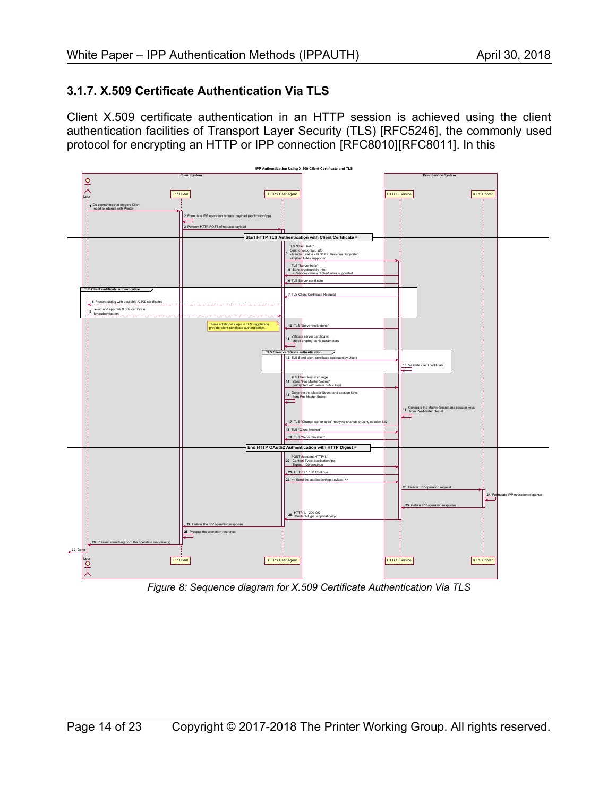#### <span id="page-13-0"></span>**3.1.7. X.509 Certificate Authentication Via TLS**

Client X.509 certificate authentication in an HTTP session is achieved using the client authentication facilities of Transport Layer Security (TLS) [\[RFC5246\],](#page-18-3) the commonly used protocol for encrypting an HTTP or IPP connection [\[RFC8010\]](#page-19-0)[\[RFC8011\].](#page-19-2) In this



*Figure 8: Sequence diagram for X.509 Certificate Authentication Via TLS*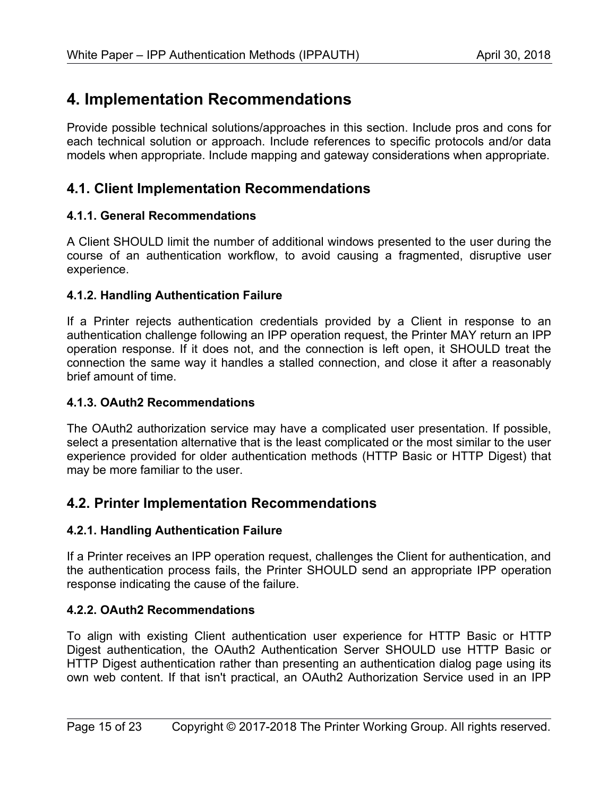# <span id="page-14-7"></span>**4. Implementation Recommendations**

Provide possible technical solutions/approaches in this section. Include pros and cons for each technical solution or approach. Include references to specific protocols and/or data models when appropriate. Include mapping and gateway considerations when appropriate.

## <span id="page-14-6"></span>**4.1. Client Implementation Recommendations**

#### <span id="page-14-5"></span>**4.1.1. General Recommendations**

A Client SHOULD limit the number of additional windows presented to the user during the course of an authentication workflow, to avoid causing a fragmented, disruptive user experience.

#### <span id="page-14-4"></span>**4.1.2. Handling Authentication Failure**

If a Printer rejects authentication credentials provided by a Client in response to an authentication challenge following an IPP operation request, the Printer MAY return an IPP operation response. If it does not, and the connection is left open, it SHOULD treat the connection the same way it handles a stalled connection, and close it after a reasonably brief amount of time.

#### <span id="page-14-3"></span>**4.1.3. OAuth2 Recommendations**

The OAuth2 authorization service may have a complicated user presentation. If possible, select a presentation alternative that is the least complicated or the most similar to the user experience provided for older authentication methods (HTTP Basic or HTTP Digest) that may be more familiar to the user.

### <span id="page-14-2"></span>**4.2. Printer Implementation Recommendations**

#### <span id="page-14-1"></span>**4.2.1. Handling Authentication Failure**

If a Printer receives an IPP operation request, challenges the Client for authentication, and the authentication process fails, the Printer SHOULD send an appropriate IPP operation response indicating the cause of the failure.

#### <span id="page-14-0"></span>**4.2.2. OAuth2 Recommendations**

To align with existing Client authentication user experience for HTTP Basic or HTTP Digest authentication, the OAuth2 Authentication Server SHOULD use HTTP Basic or HTTP Digest authentication rather than presenting an authentication dialog page using its own web content. If that isn't practical, an OAuth2 Authorization Service used in an IPP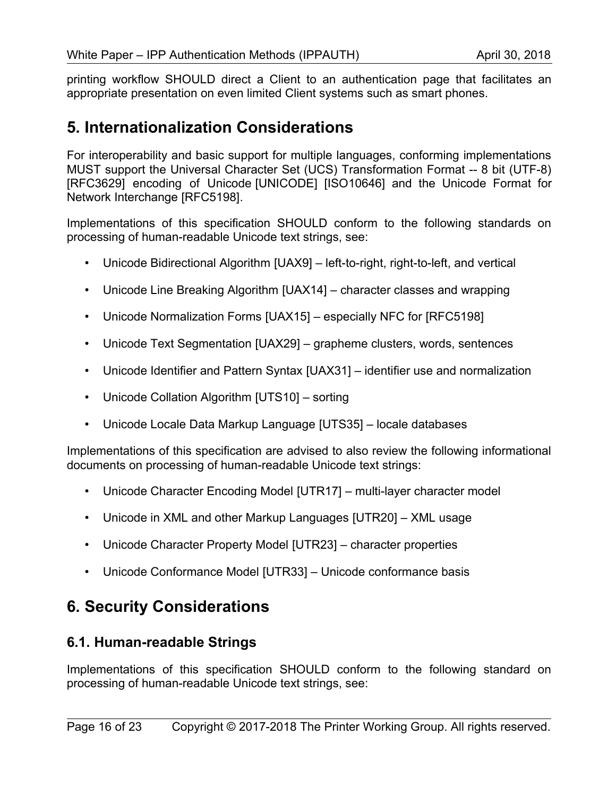printing workflow SHOULD direct a Client to an authentication page that facilitates an appropriate presentation on even limited Client systems such as smart phones.

# <span id="page-15-2"></span>**5. Internationalization Considerations**

For interoperability and basic support for multiple languages, conforming implementations MUST support the Universal Character Set (UCS) Transformation Format -- 8 bit (UTF-8) [\[RFC3629\]](#page-18-6) encoding of Unicode [\[UNICODE\]](#page-19-11) [\[ISO10646\]](#page-18-5) and the Unicode Format for Network Interchange [\[RFC5198\].](#page-18-4)

Implementations of this specification SHOULD conform to the following standards on processing of human-readable Unicode text strings, see:

- Unicode Bidirectional Algorithm [\[UAX9\]](#page-19-10)  left-to-right, right-to-left, and vertical
- Unicode Line Breaking Algorithm [\[UAX14\]](#page-19-9)  character classes and wrapping
- Unicode Normalization Forms [\[UAX15\]](#page-19-8)  especially NFC for [\[RFC5198\]](#page-18-4)
- Unicode Text Segmentation [\[UAX29\]](#page-19-7)  grapheme clusters, words, sentences
- Unicode Identifier and Pattern Syntax [\[UAX31\]](#page-19-6)  identifier use and normalization
- Unicode Collation Algorithm [\[UTS10\]](#page-20-8)  sorting
- Unicode Locale Data Markup Language [\[UTS35\]](#page-20-7)  locale databases

Implementations of this specification are advised to also review the following informational documents on processing of human-readable Unicode text strings:

- Unicode Character Encoding Model [\[UTR17\]](#page-20-6)  multi-layer character model
- Unicode in XML and other Markup Languages [\[UTR20\]](#page-20-5)  XML usage
- Unicode Character Property Model [\[UTR23\]](#page-20-4)  character properties
- Unicode Conformance Model [\[UTR33\]](#page-20-3)  Unicode conformance basis

# <span id="page-15-1"></span>**6. Security Considerations**

### <span id="page-15-0"></span>**6.1. Human-readable Strings**

Implementations of this specification SHOULD conform to the following standard on processing of human-readable Unicode text strings, see: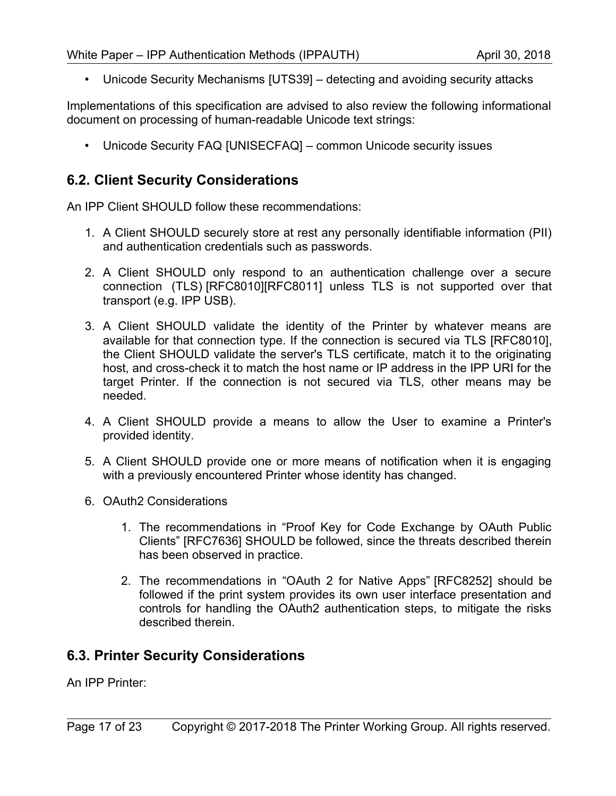• Unicode Security Mechanisms [\[UTS39\]](#page-20-10) – detecting and avoiding security attacks

Implementations of this specification are advised to also review the following informational document on processing of human-readable Unicode text strings:

• Unicode Security FAQ [\[UNISECFAQ\]](#page-20-9) – common Unicode security issues

## <span id="page-16-1"></span>**6.2. Client Security Considerations**

An IPP Client SHOULD follow these recommendations:

- 1. A Client SHOULD securely store at rest any personally identifiable information (PII) and authentication credentials such as passwords.
- 2. A Client SHOULD only respond to an authentication challenge over a secure connection (TLS) [\[RFC8010\]](#page-19-0)[\[RFC8011\]](#page-19-2) unless TLS is not supported over that transport (e.g. IPP USB).
- 3. A Client SHOULD validate the identity of the Printer by whatever means are available for that connection type. If the connection is secured via TLS [\[RFC8010\],](#page-19-0) the Client SHOULD validate the server's TLS certificate, match it to the originating host, and cross-check it to match the host name or IP address in the IPP URI for the target Printer. If the connection is not secured via TLS, other means may be needed.
- 4. A Client SHOULD provide a means to allow the User to examine a Printer's provided identity.
- 5. A Client SHOULD provide one or more means of notification when it is engaging with a previously encountered Printer whose identity has changed.
- 6. OAuth2 Considerations
	- 1. The recommendations in "Proof Key for Code Exchange by OAuth Public Clients" [\[RFC7636\]](#page-19-13) SHOULD be followed, since the threats described therein has been observed in practice.
	- 2. The recommendations in "OAuth 2 for Native Apps" [\[RFC8252\]](#page-19-12) should be followed if the print system provides its own user interface presentation and controls for handling the OAuth2 authentication steps, to mitigate the risks described therein.

## <span id="page-16-0"></span>**6.3. Printer Security Considerations**

An IPP Printer: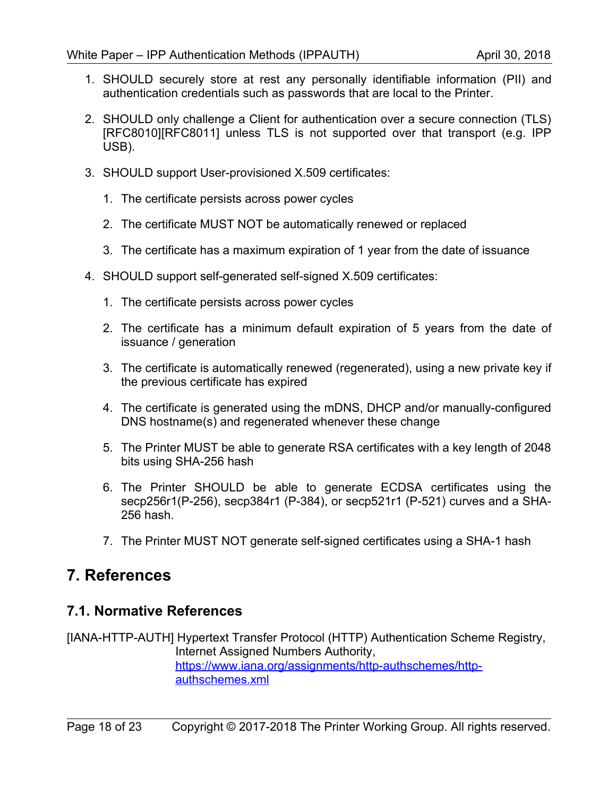- 1. SHOULD securely store at rest any personally identifiable information (PII) and authentication credentials such as passwords that are local to the Printer.
- 2. SHOULD only challenge a Client for authentication over a secure connection (TLS) [\[RFC8010\]](#page-19-0)[\[RFC8011\]](#page-19-2) unless TLS is not supported over that transport (e.g. IPP USB).
- 3. SHOULD support User-provisioned X.509 certificates:
	- 1. The certificate persists across power cycles
	- 2. The certificate MUST NOT be automatically renewed or replaced
	- 3. The certificate has a maximum expiration of 1 year from the date of issuance
- 4. SHOULD support self-generated self-signed X.509 certificates:
	- 1. The certificate persists across power cycles
	- 2. The certificate has a minimum default expiration of 5 years from the date of issuance / generation
	- 3. The certificate is automatically renewed (regenerated), using a new private key if the previous certificate has expired
	- 4. The certificate is generated using the mDNS, DHCP and/or manually-configured DNS hostname(s) and regenerated whenever these change
	- 5. The Printer MUST be able to generate RSA certificates with a key length of 2048 bits using SHA-256 hash
	- 6. The Printer SHOULD be able to generate ECDSA certificates using the secp256r1(P-256), secp384r1 (P-384), or secp521r1 (P-521) curves and a SHA-256 hash.
	- 7. The Printer MUST NOT generate self-signed certificates using a SHA-1 hash

# <span id="page-17-1"></span>**7. References**

#### <span id="page-17-0"></span>**7.1. Normative References**

[IANA-HTTP-AUTH] Hypertext Transfer Protocol (HTTP) Authentication Scheme Registry, Internet Assigned Numbers Authority, [https://www.iana.org/assignments/http-authschemes/http](https://www.iana.org/assignments/http-authschemes/http-authschemes.xml)[authschemes.xml](https://www.iana.org/assignments/http-authschemes/http-authschemes.xml)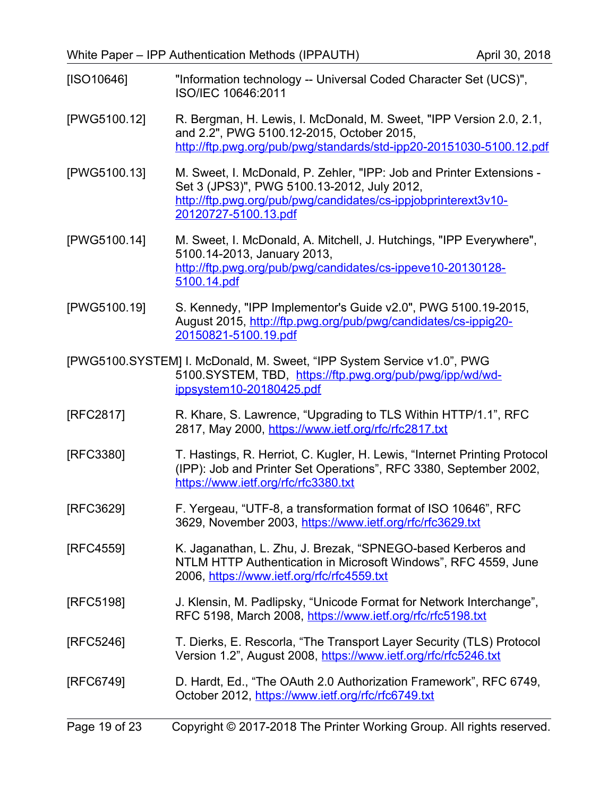<span id="page-18-5"></span>

| $[ISO10646]$ | "Information technology -- Universal Coded Character Set (UCS)", |
|--------------|------------------------------------------------------------------|
|              | ISO/IEC 10646:2011                                               |

- [PWG5100.12] R. Bergman, H. Lewis, I. McDonald, M. Sweet, "IPP Version 2.0, 2.1, and 2.2", PWG 5100.12-2015, October 2015, <http://ftp.pwg.org/pub/pwg/standards/std-ipp20-20151030-5100.12.pdf>
- [PWG5100.13] M. Sweet, I. McDonald, P. Zehler, "IPP: Job and Printer Extensions Set 3 (JPS3)", PWG 5100.13-2012, July 2012, [http://ftp.pwg.org/pub/pwg/candidates/cs-ippjobprinterext3v10-](http://ftp.pwg.org/pub/pwg/candidates/cs-ippjobprinterext3v10-20120727-5100.13.pdf) [20120727-5100.13.pdf](http://ftp.pwg.org/pub/pwg/candidates/cs-ippjobprinterext3v10-20120727-5100.13.pdf)
- [PWG5100.14] M. Sweet, I. McDonald, A. Mitchell, J. Hutchings, "IPP Everywhere", 5100.14-2013, January 2013, [http://ftp.pwg.org/pub/pwg/candidates/cs-ippeve10-20130128-](http://ftp.pwg.org/pub/pwg/candidates/cs-ippeve10-20130128-5100.14.pdf) [5100.14.pdf](http://ftp.pwg.org/pub/pwg/candidates/cs-ippeve10-20130128-5100.14.pdf)
- [PWG5100.19] S. Kennedy, "IPP Implementor's Guide v2.0", PWG 5100.19-2015, August 2015, [http://ftp.pwg.org/pub/pwg/candidates/cs-ippig20-](http://ftp.pwg.org/pub/pwg/candidates/cs-ippig20-20150821-5100.19.pdf) [20150821-5100.19.pdf](http://ftp.pwg.org/pub/pwg/candidates/cs-ippig20-20150821-5100.19.pdf)
- [PWG5100.SYSTEM] I. McDonald, M. Sweet, "IPP System Service v1.0", PWG 5100.SYSTEM, TBD, [https://ftp.pwg.org/pub/pwg/ipp/wd/wd](https://ftp.pwg.org/pub/pwg/ipp/wd/wd-ippsystem10-20180425.pdf)[ippsystem10-20180425.pdf](https://ftp.pwg.org/pub/pwg/ipp/wd/wd-ippsystem10-20180425.pdf)
- [RFC2817] R. Khare, S. Lawrence, "Upgrading to TLS Within HTTP/1.1", RFC 2817, May 2000,<https://www.ietf.org/rfc/rfc2817.txt>
- <span id="page-18-0"></span>[RFC3380] T. Hastings, R. Herriot, C. Kugler, H. Lewis, "Internet Printing Protocol (IPP): Job and Printer Set Operations", RFC 3380, September 2002, <https://www.ietf.org/rfc/rfc3380.txt>
- <span id="page-18-6"></span>[RFC3629] F. Yergeau, "UTF-8, a transformation format of ISO 10646", RFC 3629, November 2003,<https://www.ietf.org/rfc/rfc3629.txt>
- <span id="page-18-1"></span>[RFC4559] K. Jaganathan, L. Zhu, J. Brezak, "SPNEGO-based Kerberos and NTLM HTTP Authentication in Microsoft Windows", RFC 4559, June 2006,<https://www.ietf.org/rfc/rfc4559.txt>
- <span id="page-18-4"></span>[RFC5198] J. Klensin, M. Padlipsky, "Unicode Format for Network Interchange", RFC 5198, March 2008,<https://www.ietf.org/rfc/rfc5198.txt>
- <span id="page-18-3"></span>[RFC5246] T. Dierks, E. Rescorla, "The Transport Layer Security (TLS) Protocol Version 1.2", August 2008,<https://www.ietf.org/rfc/rfc5246.txt>
- <span id="page-18-2"></span>[RFC6749] D. Hardt, Ed., "The OAuth 2.0 Authorization Framework", RFC 6749, October 2012,<https://www.ietf.org/rfc/rfc6749.txt>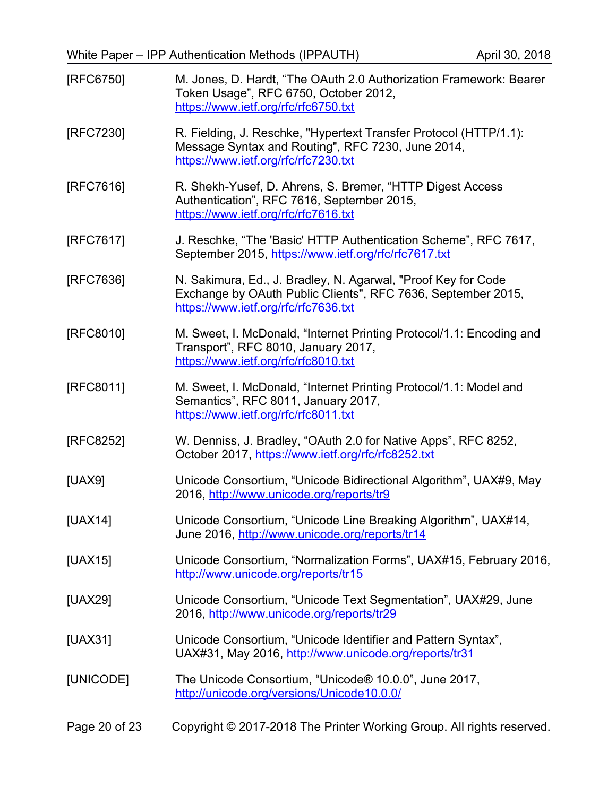<span id="page-19-13"></span><span id="page-19-12"></span><span id="page-19-11"></span><span id="page-19-10"></span><span id="page-19-9"></span><span id="page-19-8"></span><span id="page-19-7"></span><span id="page-19-6"></span><span id="page-19-5"></span><span id="page-19-4"></span><span id="page-19-3"></span><span id="page-19-2"></span><span id="page-19-1"></span><span id="page-19-0"></span>

| [RFC6750] | M. Jones, D. Hardt, "The OAuth 2.0 Authorization Framework: Bearer<br>Token Usage", RFC 6750, October 2012,<br>https://www.ietf.org/rfc/rfc6750.txt                   |
|-----------|-----------------------------------------------------------------------------------------------------------------------------------------------------------------------|
| [RFC7230] | R. Fielding, J. Reschke, "Hypertext Transfer Protocol (HTTP/1.1):<br>Message Syntax and Routing", RFC 7230, June 2014,<br>https://www.ietf.org/rfc/rfc7230.txt        |
| [RFC7616] | R. Shekh-Yusef, D. Ahrens, S. Bremer, "HTTP Digest Access<br>Authentication", RFC 7616, September 2015,<br>https://www.ietf.org/rfc/rfc7616.txt                       |
| [RFC7617] | J. Reschke, "The 'Basic' HTTP Authentication Scheme", RFC 7617,<br>September 2015, https://www.ietf.org/rfc/rfc7617.txt                                               |
| [RFC7636] | N. Sakimura, Ed., J. Bradley, N. Agarwal, "Proof Key for Code<br>Exchange by OAuth Public Clients", RFC 7636, September 2015,<br>https://www.ietf.org/rfc/rfc7636.txt |
| [RFC8010] | M. Sweet, I. McDonald, "Internet Printing Protocol/1.1: Encoding and<br>Transport", RFC 8010, January 2017,<br>https://www.ietf.org/rfc/rfc8010.txt                   |
| [RFC8011] | M. Sweet, I. McDonald, "Internet Printing Protocol/1.1: Model and<br>Semantics", RFC 8011, January 2017,<br>https://www.ietf.org/rfc/rfc8011.txt                      |
| [RFC8252] | W. Denniss, J. Bradley, "OAuth 2.0 for Native Apps", RFC 8252,<br>October 2017, https://www.ietf.org/rfc/rfc8252.txt                                                  |
| [UAX9]    | Unicode Consortium, "Unicode Bidirectional Algorithm", UAX#9, May<br>2016, http://www.unicode.org/reports/tr9                                                         |
| [UAX14]   | Unicode Consortium, "Unicode Line Breaking Algorithm", UAX#14,<br>June 2016, http://www.unicode.org/reports/tr14                                                      |
| [UAX15]   | Unicode Consortium, "Normalization Forms", UAX#15, February 2016,<br>http://www.unicode.org/reports/tr15                                                              |
| [UAX29]   | Unicode Consortium, "Unicode Text Segmentation", UAX#29, June<br>2016, http://www.unicode.org/reports/tr29                                                            |
| [UAX31]   | Unicode Consortium, "Unicode Identifier and Pattern Syntax",<br>UAX#31, May 2016, http://www.unicode.org/reports/tr31                                                 |
| [UNICODE] | The Unicode Consortium, "Unicode® 10.0.0", June 2017,<br>http://unicode.org/versions/Unicode10.0.0/                                                                   |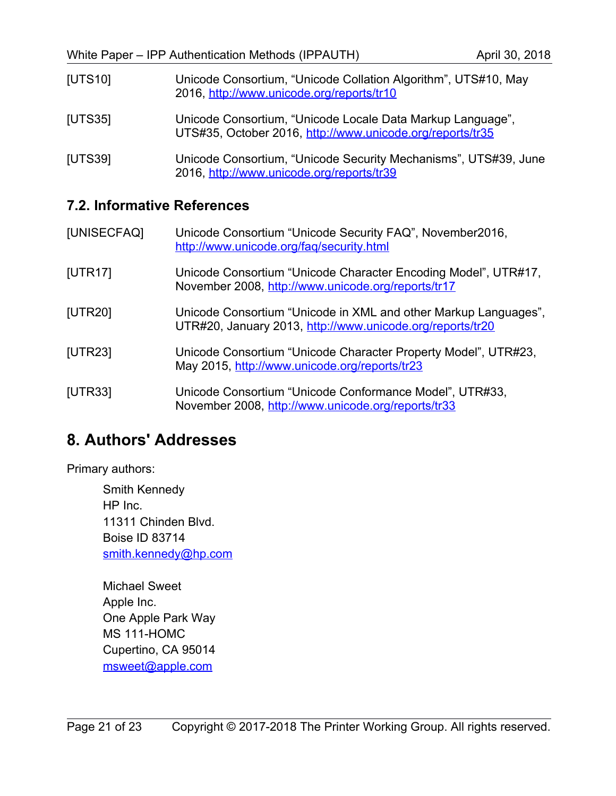<span id="page-20-8"></span><span id="page-20-7"></span>

| [UTS10] | Unicode Consortium, "Unicode Collation Algorithm", UTS#10, May<br>2016, http://www.unicode.org/reports/tr10             |
|---------|-------------------------------------------------------------------------------------------------------------------------|
| [UTS35] | Unicode Consortium, "Unicode Locale Data Markup Language",<br>UTS#35, October 2016, http://www.unicode.org/reports/tr35 |
| [UTS39] | Unicode Consortium, "Unicode Security Mechanisms", UTS#39, June<br>2016, http://www.unicode.org/reports/tr39            |

#### <span id="page-20-10"></span><span id="page-20-1"></span>**7.2. Informative References**

<span id="page-20-9"></span><span id="page-20-6"></span><span id="page-20-5"></span>

| [UNISECFAQ] | Unicode Consortium "Unicode Security FAQ", November2016,<br>http://www.unicode.org/fag/security.html                         |
|-------------|------------------------------------------------------------------------------------------------------------------------------|
| [UTR17]     | Unicode Consortium "Unicode Character Encoding Model", UTR#17,<br>November 2008, http://www.unicode.org/reports/tr17         |
| [UTR20]     | Unicode Consortium "Unicode in XML and other Markup Languages",<br>UTR#20, January 2013, http://www.unicode.org/reports/tr20 |
| [UTR23]     | Unicode Consortium "Unicode Character Property Model", UTR#23,<br>May 2015, http://www.unicode.org/reports/tr23              |
| [UTR33]     | Unicode Consortium "Unicode Conformance Model", UTR#33,<br>November 2008, http://www.unicode.org/reports/tr33                |

# <span id="page-20-4"></span><span id="page-20-3"></span><span id="page-20-0"></span>**8. Authors' Addresses**

Primary authors:

Smith Kennedy HP Inc. 11311 Chinden Blvd. Boise ID 83714 [smith.kennedy@hp.com](mailto:smith.kennedy@hp.com)

<span id="page-20-2"></span>Michael Sweet Apple Inc. One Apple Park Way MS 111-HOMC Cupertino, CA 95014 [msweet@apple.com](mailto:msweet@apple.com)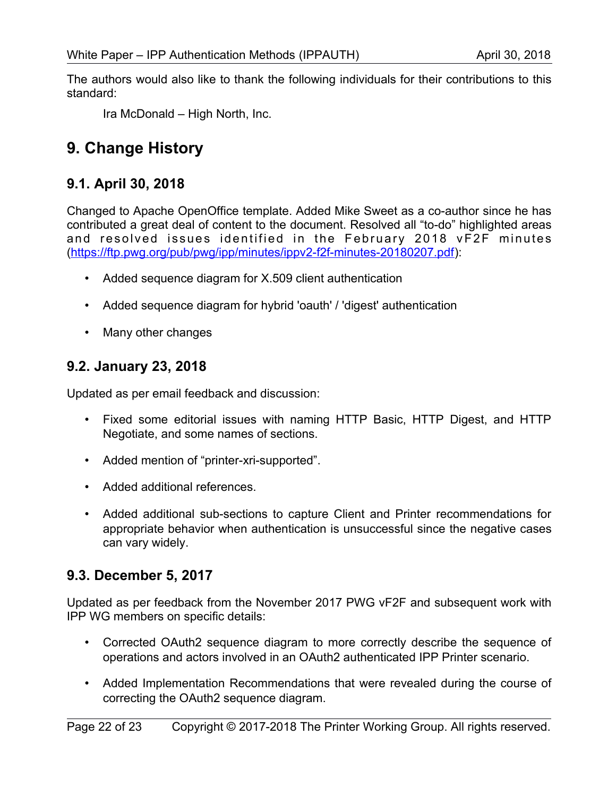The authors would also like to thank the following individuals for their contributions to this standard:

Ira McDonald – High North, Inc.

# <span id="page-21-3"></span>**9. Change History**

## <span id="page-21-2"></span>**9.1. April 30, 2018**

Changed to Apache OpenOffice template. Added Mike Sweet as a co-author since he has contributed a great deal of content to the document. Resolved all "to-do" highlighted areas and resolved issues identified in the February 2018 vF2F minutes [\(https://ftp.pwg.org/pub/pwg/ipp/minutes/ippv2-f2f-minutes-20180207.pdf\)](https://ftp.pwg.org/pub/pwg/ipp/minutes/ippv2-f2f-minutes-20180207.pdf):

- Added sequence diagram for X.509 client authentication
- Added sequence diagram for hybrid 'oauth' / 'digest' authentication
- Many other changes

## <span id="page-21-1"></span>**9.2. January 23, 2018**

Updated as per email feedback and discussion:

- Fixed some editorial issues with naming HTTP Basic, HTTP Digest, and HTTP Negotiate, and some names of sections.
- Added mention of "printer-xri-supported".
- Added additional references.
- Added additional sub-sections to capture Client and Printer recommendations for appropriate behavior when authentication is unsuccessful since the negative cases can vary widely.

# <span id="page-21-0"></span>**9.3. December 5, 2017**

Updated as per feedback from the November 2017 PWG vF2F and subsequent work with IPP WG members on specific details:

- Corrected OAuth2 sequence diagram to more correctly describe the sequence of operations and actors involved in an OAuth2 authenticated IPP Printer scenario.
- Added Implementation Recommendations that were revealed during the course of correcting the OAuth2 sequence diagram.